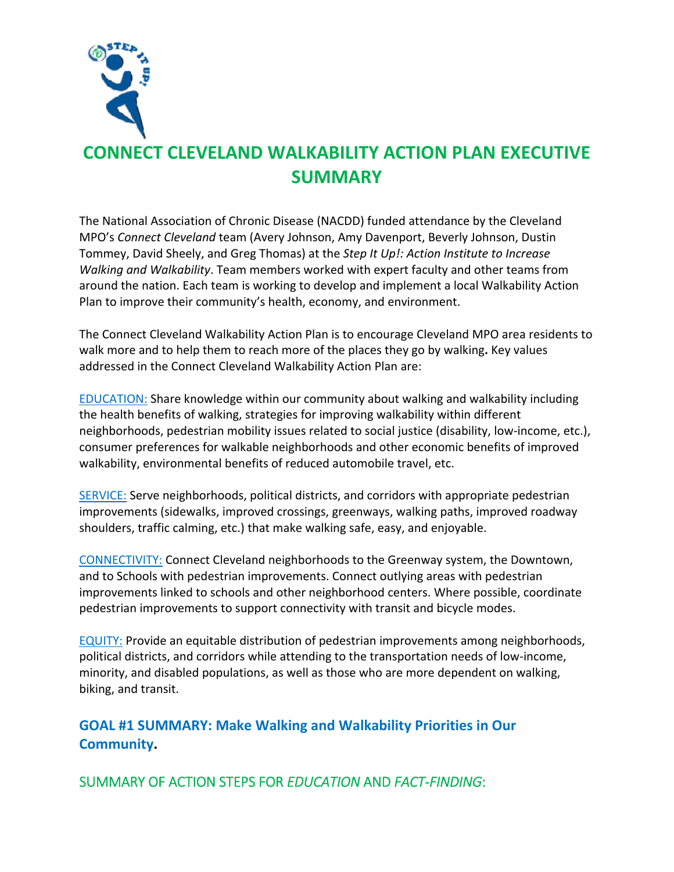

## **CONNECT CLEVELAND WALKABILITY ACTION PLAN EXECUTIVE SUMMARY**

The National Association of Chronic Disease (NACDD) funded attendance by the Cleveland MPO's *Connect Cleveland* team (Avery Johnson, Amy Davenport, Beverly Johnson, Dustin Tommey, David Sheely, and Greg Thomas) at the *Step It Up!: Action Institute to Increase Walking and Walkability*. Team members worked with expert faculty and other teams from around the nation. Each team is working to develop and implement a local Walkability Action Plan to improve their community's health, economy, and environment.

The Connect Cleveland Walkability Action Plan is to encourage Cleveland MPO area residents to walk more and to help them to reach more of the places they go by walking**.** Key values addressed in the Connect Cleveland Walkability Action Plan are:

EDUCATION: Share knowledge within our community about walking and walkability including the health benefits of walking, strategies for improving walkability within different neighborhoods, pedestrian mobility issues related to social justice (disability, low-income, etc.), consumer preferences for walkable neighborhoods and other economic benefits of improved walkability, environmental benefits of reduced automobile travel, etc.

SERVICE: Serve neighborhoods, political districts, and corridors with appropriate pedestrian improvements (sidewalks, improved crossings, greenways, walking paths, improved roadway shoulders, traffic calming, etc.) that make walking safe, easy, and enjoyable.

CONNECTIVITY: Connect Cleveland neighborhoods to the Greenway system, the Downtown, and to Schools with pedestrian improvements. Connect outlying areas with pedestrian improvements linked to schools and other neighborhood centers. Where possible, coordinate pedestrian improvements to support connectivity with transit and bicycle modes.

EQUITY: Provide an equitable distribution of pedestrian improvements among neighborhoods, political districts, and corridors while attending to the transportation needs of low‐income, minority, and disabled populations, as well as those who are more dependent on walking, biking, and transit.

**GOAL #1 SUMMARY: Make Walking and Walkability Priorities in Our Community.** 

SUMMARY OF ACTION STEPS FOR *EDUCATION* AND *FACT‐FINDING*: